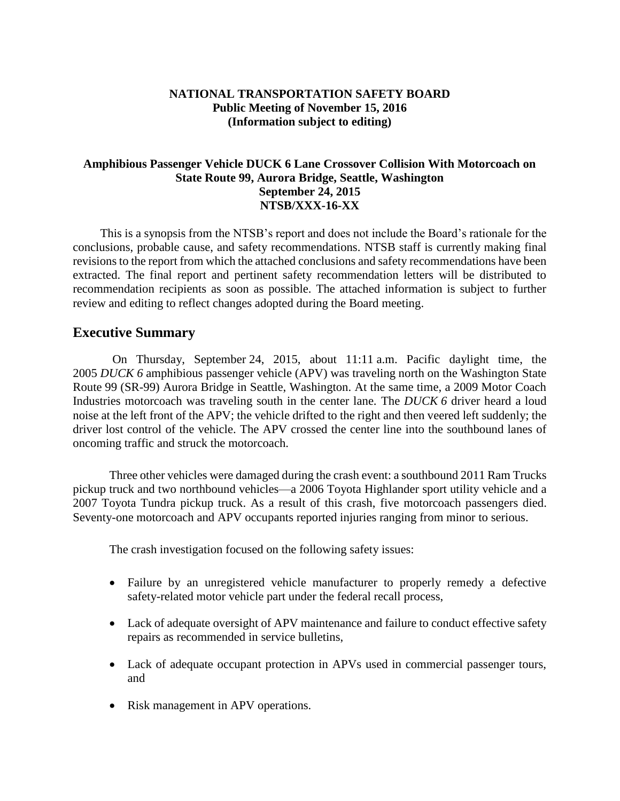### **NATIONAL TRANSPORTATION SAFETY BOARD Public Meeting of November 15, 2016 (Information subject to editing)**

### **Amphibious Passenger Vehicle DUCK 6 Lane Crossover Collision With Motorcoach on State Route 99, Aurora Bridge, Seattle, Washington September 24, 2015 NTSB/XXX-16-XX**

This is a synopsis from the NTSB's report and does not include the Board's rationale for the conclusions, probable cause, and safety recommendations. NTSB staff is currently making final revisions to the report from which the attached conclusions and safety recommendations have been extracted. The final report and pertinent safety recommendation letters will be distributed to recommendation recipients as soon as possible. The attached information is subject to further review and editing to reflect changes adopted during the Board meeting.

## **Executive Summary**

On Thursday, September 24, 2015, about 11:11 a.m. Pacific daylight time, the 2005 *DUCK 6* amphibious passenger vehicle (APV) was traveling north on the Washington State Route 99 (SR-99) Aurora Bridge in Seattle, Washington. At the same time, a 2009 Motor Coach Industries motorcoach was traveling south in the center lane. The *DUCK 6* driver heard a loud noise at the left front of the APV; the vehicle drifted to the right and then veered left suddenly; the driver lost control of the vehicle. The APV crossed the center line into the southbound lanes of oncoming traffic and struck the motorcoach.

Three other vehicles were damaged during the crash event: a southbound 2011 Ram Trucks pickup truck and two northbound vehicles—a 2006 Toyota Highlander sport utility vehicle and a 2007 Toyota Tundra pickup truck. As a result of this crash, five motorcoach passengers died. Seventy-one motorcoach and APV occupants reported injuries ranging from minor to serious.

The crash investigation focused on the following safety issues:

- Failure by an unregistered vehicle manufacturer to properly remedy a defective safety-related motor vehicle part under the federal recall process,
- Lack of adequate oversight of APV maintenance and failure to conduct effective safety repairs as recommended in service bulletins,
- Lack of adequate occupant protection in APVs used in commercial passenger tours, and
- Risk management in APV operations.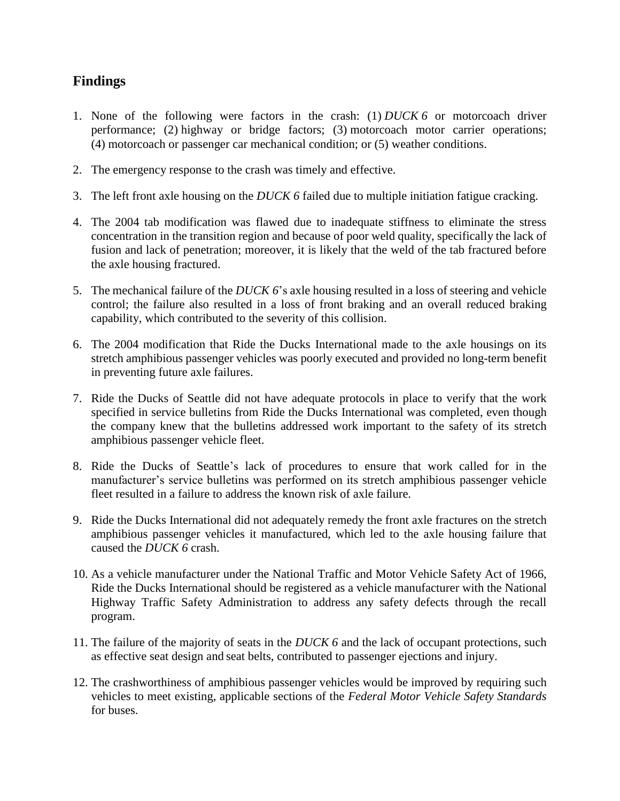# **Findings**

- 1. None of the following were factors in the crash: (1) *DUCK 6* or motorcoach driver performance; (2) highway or bridge factors; (3) motorcoach motor carrier operations; (4) motorcoach or passenger car mechanical condition; or (5) weather conditions.
- 2. The emergency response to the crash was timely and effective.
- 3. The left front axle housing on the *DUCK 6* failed due to multiple initiation fatigue cracking.
- 4. The 2004 tab modification was flawed due to inadequate stiffness to eliminate the stress concentration in the transition region and because of poor weld quality, specifically the lack of fusion and lack of penetration; moreover, it is likely that the weld of the tab fractured before the axle housing fractured.
- 5. The mechanical failure of the *DUCK 6*'s axle housing resulted in a loss of steering and vehicle control; the failure also resulted in a loss of front braking and an overall reduced braking capability, which contributed to the severity of this collision.
- 6. The 2004 modification that Ride the Ducks International made to the axle housings on its stretch amphibious passenger vehicles was poorly executed and provided no long-term benefit in preventing future axle failures.
- 7. Ride the Ducks of Seattle did not have adequate protocols in place to verify that the work specified in service bulletins from Ride the Ducks International was completed, even though the company knew that the bulletins addressed work important to the safety of its stretch amphibious passenger vehicle fleet.
- 8. Ride the Ducks of Seattle's lack of procedures to ensure that work called for in the manufacturer's service bulletins was performed on its stretch amphibious passenger vehicle fleet resulted in a failure to address the known risk of axle failure.
- 9. Ride the Ducks International did not adequately remedy the front axle fractures on the stretch amphibious passenger vehicles it manufactured, which led to the axle housing failure that caused the *DUCK 6* crash.
- 10. As a vehicle manufacturer under the National Traffic and Motor Vehicle Safety Act of 1966, Ride the Ducks International should be registered as a vehicle manufacturer with the National Highway Traffic Safety Administration to address any safety defects through the recall program.
- 11. The failure of the majority of seats in the *DUCK 6* and the lack of occupant protections, such as effective seat design and seat belts, contributed to passenger ejections and injury.
- 12. The crashworthiness of amphibious passenger vehicles would be improved by requiring such vehicles to meet existing, applicable sections of the *Federal Motor Vehicle Safety Standards* for buses.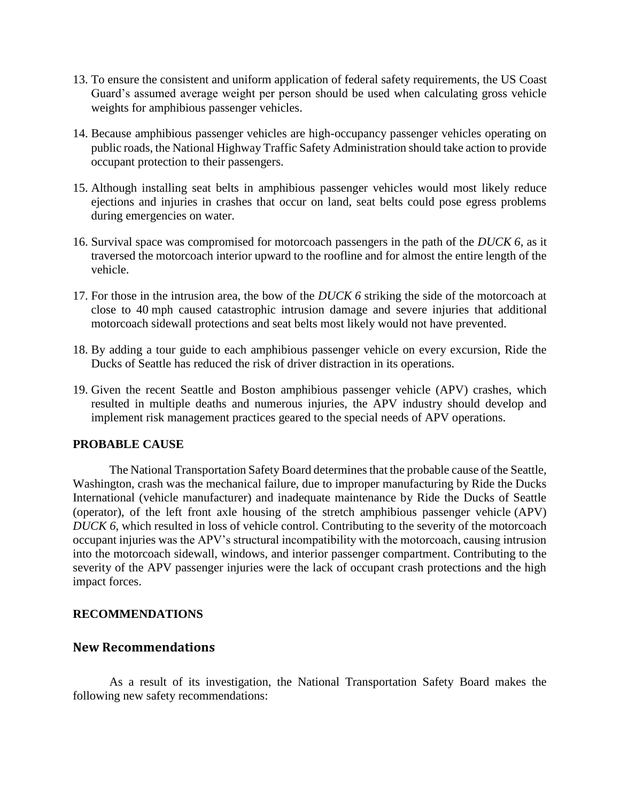- 13. To ensure the consistent and uniform application of federal safety requirements, the US Coast Guard's assumed average weight per person should be used when calculating gross vehicle weights for amphibious passenger vehicles.
- 14. Because amphibious passenger vehicles are high-occupancy passenger vehicles operating on public roads, the National Highway Traffic Safety Administration should take action to provide occupant protection to their passengers.
- 15. Although installing seat belts in amphibious passenger vehicles would most likely reduce ejections and injuries in crashes that occur on land, seat belts could pose egress problems during emergencies on water.
- 16. Survival space was compromised for motorcoach passengers in the path of the *DUCK 6*, as it traversed the motorcoach interior upward to the roofline and for almost the entire length of the vehicle.
- 17. For those in the intrusion area, the bow of the *DUCK 6* striking the side of the motorcoach at close to 40 mph caused catastrophic intrusion damage and severe injuries that additional motorcoach sidewall protections and seat belts most likely would not have prevented.
- 18. By adding a tour guide to each amphibious passenger vehicle on every excursion, Ride the Ducks of Seattle has reduced the risk of driver distraction in its operations.
- 19. Given the recent Seattle and Boston amphibious passenger vehicle (APV) crashes, which resulted in multiple deaths and numerous injuries, the APV industry should develop and implement risk management practices geared to the special needs of APV operations.

#### **PROBABLE CAUSE**

The National Transportation Safety Board determines that the probable cause of the Seattle, Washington, crash was the mechanical failure, due to improper manufacturing by Ride the Ducks International (vehicle manufacturer) and inadequate maintenance by Ride the Ducks of Seattle (operator), of the left front axle housing of the stretch amphibious passenger vehicle (APV) *DUCK* 6, which resulted in loss of vehicle control. Contributing to the severity of the motorcoach occupant injuries was the APV's structural incompatibility with the motorcoach, causing intrusion into the motorcoach sidewall, windows, and interior passenger compartment. Contributing to the severity of the APV passenger injuries were the lack of occupant crash protections and the high impact forces.

#### **RECOMMENDATIONS**

## **New Recommendations**

As a result of its investigation, the National Transportation Safety Board makes the following new safety recommendations: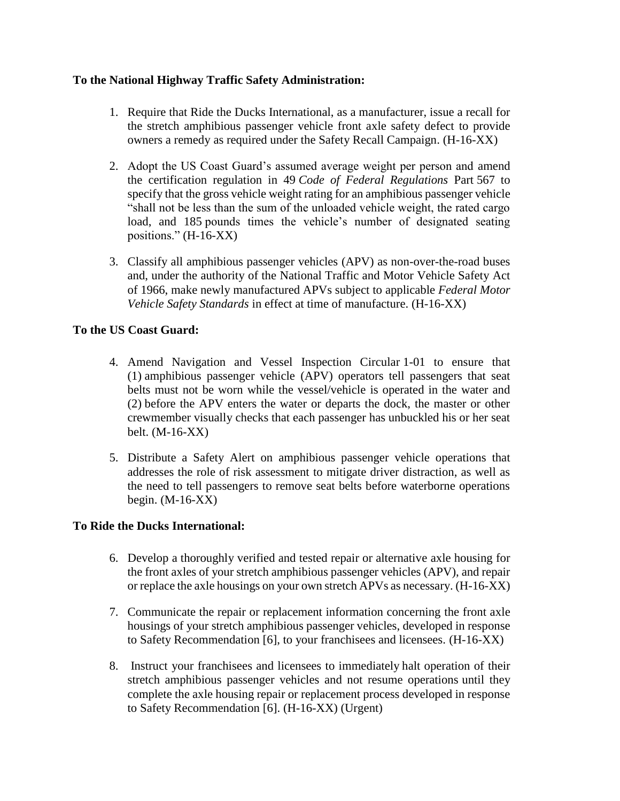### **To the National Highway Traffic Safety Administration:**

- 1. Require that Ride the Ducks International, as a manufacturer, issue a recall for the stretch amphibious passenger vehicle front axle safety defect to provide owners a remedy as required under the Safety Recall Campaign. (H-16-XX)
- 2. Adopt the US Coast Guard's assumed average weight per person and amend the certification regulation in 49 *Code of Federal Regulations* Part 567 to specify that the gross vehicle weight rating for an amphibious passenger vehicle "shall not be less than the sum of the unloaded vehicle weight, the rated cargo load, and 185 pounds times the vehicle's number of designated seating positions." (H-16-XX)
- 3. Classify all amphibious passenger vehicles (APV) as non-over-the-road buses and, under the authority of the National Traffic and Motor Vehicle Safety Act of 1966, make newly manufactured APVs subject to applicable *Federal Motor Vehicle Safety Standards* in effect at time of manufacture. (H-16-XX)

### **To the US Coast Guard:**

- 4. Amend Navigation and Vessel Inspection Circular 1-01 to ensure that (1) amphibious passenger vehicle (APV) operators tell passengers that seat belts must not be worn while the vessel/vehicle is operated in the water and (2) before the APV enters the water or departs the dock, the master or other crewmember visually checks that each passenger has unbuckled his or her seat belt. (M-16-XX)
- 5. Distribute a Safety Alert on amphibious passenger vehicle operations that addresses the role of risk assessment to mitigate driver distraction, as well as the need to tell passengers to remove seat belts before waterborne operations begin. (M-16-XX)

#### **To Ride the Ducks International:**

- 6. Develop a thoroughly verified and tested repair or alternative axle housing for the front axles of your stretch amphibious passenger vehicles (APV), and repair or replace the axle housings on your own stretch APVs as necessary. (H-16-XX)
- 7. Communicate the repair or replacement information concerning the front axle housings of your stretch amphibious passenger vehicles, developed in response to Safety Recommendation [6], to your franchisees and licensees. (H-16-XX)
- 8. Instruct your franchisees and licensees to immediately halt operation of their stretch amphibious passenger vehicles and not resume operations until they complete the axle housing repair or replacement process developed in response to Safety Recommendation [6]. (H-16-XX) (Urgent)